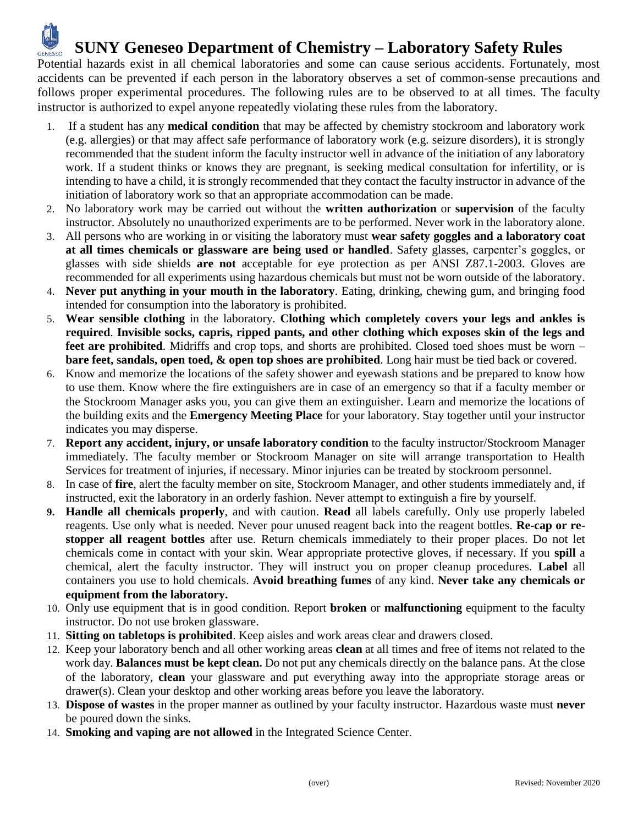## **SUNY Geneseo Department of Chemistry – Laboratory Safety Rules GENESEO**

Potential hazards exist in all chemical laboratories and some can cause serious accidents. Fortunately, most accidents can be prevented if each person in the laboratory observes a set of common-sense precautions and follows proper experimental procedures. The following rules are to be observed to at all times. The faculty instructor is authorized to expel anyone repeatedly violating these rules from the laboratory.

- 1. If a student has any **medical condition** that may be affected by chemistry stockroom and laboratory work (e.g. allergies) or that may affect safe performance of laboratory work (e.g. seizure disorders), it is strongly recommended that the student inform the faculty instructor well in advance of the initiation of any laboratory work. If a student thinks or knows they are pregnant, is seeking medical consultation for infertility, or is intending to have a child, it is strongly recommended that they contact the faculty instructor in advance of the initiation of laboratory work so that an appropriate accommodation can be made.
- 2. No laboratory work may be carried out without the **written authorization** or **supervision** of the faculty instructor. Absolutely no unauthorized experiments are to be performed. Never work in the laboratory alone.
- 3. All persons who are working in or visiting the laboratory must **wear safety goggles and a laboratory coat at all times chemicals or glassware are being used or handled**. Safety glasses, carpenter's goggles, or glasses with side shields **are not** acceptable for eye protection as per ANSI Z87.1-2003. Gloves are recommended for all experiments using hazardous chemicals but must not be worn outside of the laboratory.
- 4. **Never put anything in your mouth in the laboratory**. Eating, drinking, chewing gum, and bringing food intended for consumption into the laboratory is prohibited.
- 5. **Wear sensible clothing** in the laboratory. **Clothing which completely covers your legs and ankles is required**. **Invisible socks, capris, ripped pants, and other clothing which exposes skin of the legs and feet are prohibited**. Midriffs and crop tops, and shorts are prohibited. Closed toed shoes must be worn – **bare feet, sandals, open toed, & open top shoes are prohibited**. Long hair must be tied back or covered.
- 6. Know and memorize the locations of the safety shower and eyewash stations and be prepared to know how to use them. Know where the fire extinguishers are in case of an emergency so that if a faculty member or the Stockroom Manager asks you, you can give them an extinguisher. Learn and memorize the locations of the building exits and the **Emergency Meeting Place** for your laboratory. Stay together until your instructor indicates you may disperse.
- 7. **Report any accident, injury, or unsafe laboratory condition** to the faculty instructor/Stockroom Manager immediately. The faculty member or Stockroom Manager on site will arrange transportation to Health Services for treatment of injuries, if necessary. Minor injuries can be treated by stockroom personnel.
- 8. In case of **fire**, alert the faculty member on site, Stockroom Manager, and other students immediately and, if instructed, exit the laboratory in an orderly fashion. Never attempt to extinguish a fire by yourself.
- **9. Handle all chemicals properly**, and with caution. **Read** all labels carefully. Only use properly labeled reagents. Use only what is needed. Never pour unused reagent back into the reagent bottles. **Re-cap or restopper all reagent bottles** after use. Return chemicals immediately to their proper places. Do not let chemicals come in contact with your skin. Wear appropriate protective gloves, if necessary. If you **spill** a chemical, alert the faculty instructor. They will instruct you on proper cleanup procedures. **Label** all containers you use to hold chemicals. **Avoid breathing fumes** of any kind. **Never take any chemicals or equipment from the laboratory.**
- 10. Only use equipment that is in good condition. Report **broken** or **malfunctioning** equipment to the faculty instructor. Do not use broken glassware.
- 11. **Sitting on tabletops is prohibited**. Keep aisles and work areas clear and drawers closed.
- 12. Keep your laboratory bench and all other working areas **clean** at all times and free of items not related to the work day. **Balances must be kept clean.** Do not put any chemicals directly on the balance pans. At the close of the laboratory, **clean** your glassware and put everything away into the appropriate storage areas or drawer(s). Clean your desktop and other working areas before you leave the laboratory.
- 13. **Dispose of wastes** in the proper manner as outlined by your faculty instructor. Hazardous waste must **never** be poured down the sinks.
- 14. **Smoking and vaping are not allowed** in the Integrated Science Center.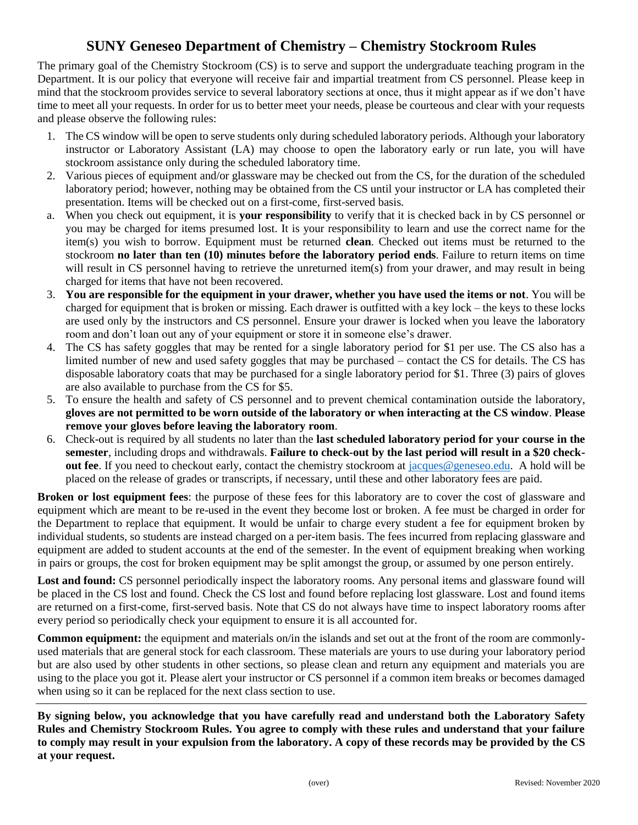## **SUNY Geneseo Department of Chemistry – Chemistry Stockroom Rules**

The primary goal of the Chemistry Stockroom (CS) is to serve and support the undergraduate teaching program in the Department. It is our policy that everyone will receive fair and impartial treatment from CS personnel. Please keep in mind that the stockroom provides service to several laboratory sections at once, thus it might appear as if we don't have time to meet all your requests. In order for us to better meet your needs, please be courteous and clear with your requests and please observe the following rules:

- 1. The CS window will be open to serve students only during scheduled laboratory periods. Although your laboratory instructor or Laboratory Assistant (LA) may choose to open the laboratory early or run late, you will have stockroom assistance only during the scheduled laboratory time.
- 2. Various pieces of equipment and/or glassware may be checked out from the CS, for the duration of the scheduled laboratory period; however, nothing may be obtained from the CS until your instructor or LA has completed their presentation. Items will be checked out on a first-come, first-served basis.
- a. When you check out equipment, it is **your responsibility** to verify that it is checked back in by CS personnel or you may be charged for items presumed lost. It is your responsibility to learn and use the correct name for the item(s) you wish to borrow. Equipment must be returned **clean**. Checked out items must be returned to the stockroom **no later than ten (10) minutes before the laboratory period ends**. Failure to return items on time will result in CS personnel having to retrieve the unreturned item(s) from your drawer, and may result in being charged for items that have not been recovered.
- 3. **You are responsible for the equipment in your drawer, whether you have used the items or not**. You will be charged for equipment that is broken or missing. Each drawer is outfitted with a key lock – the keys to these locks are used only by the instructors and CS personnel. Ensure your drawer is locked when you leave the laboratory room and don't loan out any of your equipment or store it in someone else's drawer.
- 4. The CS has safety goggles that may be rented for a single laboratory period for \$1 per use. The CS also has a limited number of new and used safety goggles that may be purchased – contact the CS for details. The CS has disposable laboratory coats that may be purchased for a single laboratory period for \$1. Three (3) pairs of gloves are also available to purchase from the CS for \$5.
- 5. To ensure the health and safety of CS personnel and to prevent chemical contamination outside the laboratory, **gloves are not permitted to be worn outside of the laboratory or when interacting at the CS window**. **Please remove your gloves before leaving the laboratory room**.
- 6. Check-out is required by all students no later than the **last scheduled laboratory period for your course in the semester**, including drops and withdrawals. **Failure to check-out by the last period will result in a \$20 checkout fee**. If you need to checkout early, contact the chemistry stockroom at [jacques@geneseo.edu.](mailto:jacques@geneseo.edu) A hold will be placed on the release of grades or transcripts, if necessary, until these and other laboratory fees are paid.

**Broken or lost equipment fees**: the purpose of these fees for this laboratory are to cover the cost of glassware and equipment which are meant to be re-used in the event they become lost or broken. A fee must be charged in order for the Department to replace that equipment. It would be unfair to charge every student a fee for equipment broken by individual students, so students are instead charged on a per-item basis. The fees incurred from replacing glassware and equipment are added to student accounts at the end of the semester. In the event of equipment breaking when working in pairs or groups, the cost for broken equipment may be split amongst the group, or assumed by one person entirely.

Lost and found: CS personnel periodically inspect the laboratory rooms. Any personal items and glassware found will be placed in the CS lost and found. Check the CS lost and found before replacing lost glassware. Lost and found items are returned on a first-come, first-served basis. Note that CS do not always have time to inspect laboratory rooms after every period so periodically check your equipment to ensure it is all accounted for.

**Common equipment:** the equipment and materials on/in the islands and set out at the front of the room are commonlyused materials that are general stock for each classroom. These materials are yours to use during your laboratory period but are also used by other students in other sections, so please clean and return any equipment and materials you are using to the place you got it. Please alert your instructor or CS personnel if a common item breaks or becomes damaged when using so it can be replaced for the next class section to use.

**By signing below, you acknowledge that you have carefully read and understand both the Laboratory Safety Rules and Chemistry Stockroom Rules. You agree to comply with these rules and understand that your failure to comply may result in your expulsion from the laboratory. A copy of these records may be provided by the CS at your request.**